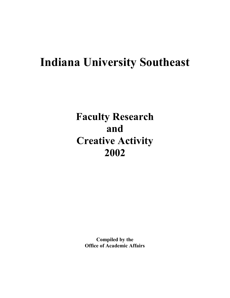# **Indiana University Southeast**

**Faculty Research and Creative Activity 2002**

> **Compiled by the Office of Academic Affairs**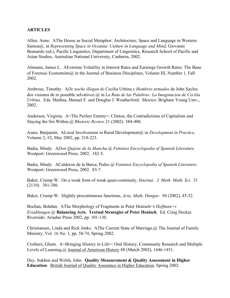## **ARTICLES**

Allen, Anne. AThe House as Social Metaphor: Architecture, Space and Language in Western Samoa@, in *Representing Space in Oceania: Culture in Language and Mind*, Giovanni Bennardo (ed.), Pacific Linguistics, Department of Linguistics, Research School of Pacific and Asian Studies, Australian National University, Canberra, 2002.

Altmann, James L. AExtreme Volatility in Interest Rates and Earnings Growth Rates: The Bane of Forensic Economists@ in the Journal of Business Disciplines, Volume III, Number 1, Fall 2002.

Ambrose, Timothy. A*De noche illegan de* Cecilia Urbina *y Hombres armados* de John Sayles: dos visiones de to possible selvativco.@ in *La Ruta de las Palabras: La Imaginacion de Cecilia Urbina*. Eds. Medina, Manuel F. and Douglas J. Weatherford. Mexico: Brigham Young Univ., 2002.

Anderson, Virginia. A>The Perfect Enemy=: Clinton, the Contradictions of Capitalism and Slaying the Sin Within.@ *Rhetoric Review* 21 (2002): 384-400.

Asare, Benjamin. ALocal Involvement in Rural Development@ in *Development in Practice*, Volume 2, #2, May 2002, pp. 218-223.

Badia, Mindy. A*Don Quijote de la Mancha.@ Feminist Encyclopedia of Spanish Literature*. Westport: Greenwood Press, 2002. 182-5.

Badia, Mindy. ACalderon de la Barca, Pedro.@ *Feminist Encyclopedia of Spanish Literature*. Westport: Greenwood Press, 2002. 83-7.

Baker, Crump W. On a weak form of weak quasi-continuity, *Internat. J. Math. Math. Sci*. 31 (2110). 381-386.

Baker, Crump W. Slightly precontinuous functions, *Acta. Math. Hungar*. 94 (2002), 45-52.

Bochan, Bohdan. AThe Morphology of Fragments in Peter Henisch=s *Hoffman=s Erzahlungen*.@ **Balancing Acts. Textual Strategies of Peter Henisch**. Ed. Craig Decker. Riverside: Ariadne Press 2002, pp. 101-130.

Christiansen, Linda and Rick Jenks. AThe Current State of Marriage,@ The Journal of Family Ministry, Vol. 16 No. 1, pp. 58-74, Spring 2002.

Crothers, Glenn. A>Bringing History to Life=: Oral History, Community Research and Multiple Levels of Learning,@ Journal of American History 88 (March 2002), 1446-1451.

Dey, Sukhen and Welsh, John. **Quality Measurement & Quality Assessment in Higher Education**. British Journal of Quality Assurance in Higher Education, Spring 2002.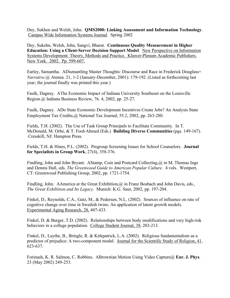Dey, Sukhen and Welsh, John. **QMS2000: Linking Assessment and Information Technology**. Campus Wide Information Systems Journal. Spring 2002

Dey, Sukehn, Welsh, John, Sangvi, Bharat. **Continuous Quality Measurement in Higher Education: Using a Client-Server Decision Support Model**. New Perspective on Information Systems Development: Theory, Methods and Practice. Kluwer-Plenum Academic Publishers. New York. 2002. Pp. 599-607.

Earley, Samantha. ADismantling Master Thoughts: Discourse and Race in Frederick Douglass= *Narrative*.@ Atenea. 21, 1-2 (January-December, 2001): 179-192. (Listed as forthcoming last year; the journal finally was printed this year.)

Faulk, Dagney. AThe Economic Impact of Indiana University Southeast on the Louisville Region.@ Indiana Business Review, 76. 4, 2002, pp. 25-27.

Faulk, Dagney. ADo State Economic Development Incentives Create Jobs? An Analysis State Employment Tax Credits,@ National Tax Journal, 55.2, 2002, pp. 263-280.

Fields, T.H. (2002). The Use of Task Group Principals to Facilitate Community. In T. McDonald, M. Orbe, & T. Ford-Ahmed (Eds.) **Building Diverse Communities** (pgs. 149-167). Cresskill, NJ: Hampton Press.

Fields, T.H. & Hines, P.L. (2002). Pregroup Screening Issues for School Counselors. **Journal for Specialists in Group Work**, 27(4), 358-376.

Findling, John and John Bryant. AStamp, Coin and Postcard Collecting,  $\omega$  in M. Thomas Inge and Dennis Hall, eds. *The Greenwood Guide to American Popular Culture*. 4 vols. Westport, CT: Greenwood Publishing Group, 2002, pp. 1721-1754.

Findling, John. AAmerica at the Great Exhibition,  $\omega$  in Franz Bosbach and John Davis, eds., *The Great Exhibition and Its Legacy*. Munich: K.G. Saur, 2002, pp. 197-204.

Finkel, D., Reynolds, C.A., Gatz, M., & Pedersen, N.L. (2002). Sources of influence on rate of cognitive change over time in Swedish twins: An application of latent growth models. Experimental Aging Research, 28, 407-433.

Finkel, D. & Burger, T.D. (2002). Relationships between body modifications and very high-risk behaviors in a college population. College Student Journal, 38, 203-213.

Finkel, D., Laythe, B., Bringle, R. & Kirkpatrick, L.A. (2002). Religious fundamentalism as a predictor of prejudice: A two-component model. Journal for the Scientific Study of Religion, 41, 623-637.

Forinash, K. R. Salmon, C. Robbins. ABrownian Motion Using Video Capture@ **Eur. J. Phys**. 23 (May 2002) 249-253.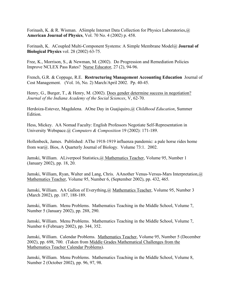Forinash, K. & R. Wisman. ASimple Internet Data Collection for Physics Laboratories,@ **American Journal of Physics**, Vol. 70 No. 4 (2002) p. 458.

Forinash, K. ACoupled Multi-Component Systems: A Simple Membrane Model@ **Journal of Biological Physics** vol. 28 (2002) 63-75.

Free, K., Morrison, S., & Newman, M. (2002). Do Progression and Remediation Policies Improve NCLEX Pass Rates? Nurse Educator, 27 (2), 94-96.

French, G.R. & Coppage, R.E. **Restructuring Management Accounting Education** Journal of Cost Management. (Vol. 16, No. 2) March/April 2002. Pp. 40-45.

Henry, G., Burger, T., & Henry, M. (2002). Does gender determine success in negotiation? *Journal of the Indiana Academy of the Social Sciences*, V, 62-70.

Herdoiza-Estevez, Magdalena. AOne Day in Guajiquiro,@ *Childhood Education*, Summer Edition.

Hess, Mickey. AA Nomad Faculty: English Professors Negotiate Self-Representation in University Webspace.@ *Computers & Composition* 19 (2002): 171-189.

Hollenbeck, James. Published: AThe 1918-1919 influenza pandemic: a pale horse rides home from war@. Bios, A Quarterly Journal of Biology. Volume 73:1. 2002.

Jamski, William. ALiverpool Statistics,@ Mathematics Teacher, Volume 95, Number 1 (January 2002), pp. 18, 20.

Jamski, William, Ryan, Walter and Lang, Chris. AAnother Venus-Versus-Mars Interpretation, @ Mathematics Teacher, Volume 95, Number 6, (September 2002), pp. 432, 465.

Jamski, William. AA Gallon of Everything, @ Mathematics Teacher, Volume 95, Number 3 (March 2002), pp. 187, 188-189.

Jamski, William. Menu Problems. Mathematics Teaching in the Middle School, Volume 7, Number 5 (January 2002), pp. 288, 290.

Jamski, William. Menu Problems. Mathematics Teaching in the Middle School, Volume 7, Number 6 (February 2002), pp. 344, 352.

Jamski, William. Calendar Problems. Mathematics Teacher, Volume 95, Number 5 (December 2002), pp. 698, 700. (Taken from Middle Grades Mathematical Challenges from the Mathematics Teacher Calendar Problems).

Jamski, William. Menu Problems. Mathematics Teaching in the Middle School, Volume 8, Number 2 (October 2002), pp. 96, 97, 98.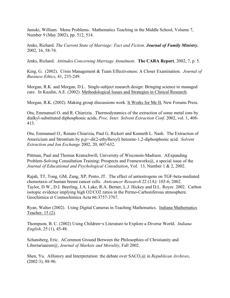Jamski, William. Menu Problems. Mathematics Teaching in the Middle School, Volume 7, Number 9 (May 2002), pp. 512, 514.

Jenks, Richard. *The Current State of Marriage: Fact and Fiction*. *Journal of Family Ministry*, 2002, 16, 58-74.

Jenks, Richard. *Attitudes Concerning Marriage Annulment*. **The CARA Report**, 2002, 7, p. 5.

King, G. (2002). Crisis Management & Team Effectiveness: A Closer Examination. *Journal of Business Ethics*, 41, 235-249.

Morgan, R.K. and Morgan, D.L. Single-subject research design: Bringing science to managed care. In Kazdin, A.E. (2002). Methodological Issues and Strategies in Clinical Research.

Morgan, R.K. (2002). Making group discussions work. It Works for Me II, New Forums Press.

Otu, Emmanuel O. and R. Chiarizia. Thermodynamics of the extraction of some metal ions by dialkyl-substituted diphosphonic acids, *Proc. Inter. Solvent Extraction Conf.* 2002, vol. 1, 408- 413.

Otu, Emmanuel O., Renato Chiarizia, Paul G. Rickert and Kenneth L. Nash. The Extraction of Americium and Strontium by p,p=-di(2-ethylhexyl) benzene-1,2-diphosphonic acid. *Solvent Extraction and Ion Exchange* 2002, 20, 607-632.

Pittman, Paul and Thomas Kratochwill, University of Wisconsin-Madison. AExpanding Problem-Solving Consultation Training: Prospects and Frameworks (a), a special issue of the *Journal of Educational and Psychological Consultation*, Vol. 13, Number 1 & 2, 2002.

Rajah, TT, Tong, GM, Zang, XP, Pento, JT. The effect of antiestrogens on TGF-beta-mediated chemotaxis of human breast cancer cells. *Anticancer Research* 22 (1A): 103-6, 2002. Taylor, D.W., D.J. Beerling, J.A. Lake, R.A. Berner, L.J. Hickey and D.L. Royer. 2002. Carbon isotopic evidence implying high O2/CO2 ratios in the Permo-Carboniferous atmosphere. Geochimica et Cosmochimica Acta 66:3757-3767.

Ryan, Walter (2002). Using Digital Cameras in Teaching Mathematics. Indiana Mathematics Teacher, 15 (2).

Thompson, B. C. (2002) Using Children=s Literature to Explore a Diverse World. *Indiana English*, 25 (1), 45-48.

Schansberg, Eric. ACommon Ground Between the Philosophies of Christianity and Libertarianism@, *Journal of Markets and Morality*, Fall 2002.

Shen, Yu. AHistory and Interpretation: the debate over SACO,@ in *Republican Archives*, (2002:3), 88-96.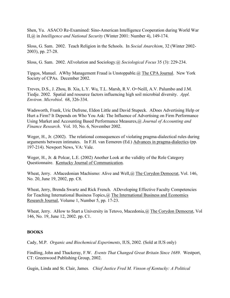Shen, Yu. ASACO Re-Examined: Sino-American Intelligence Cooperation during World War II,@ in *Intelligence and National Security* (Winter 2001: Number 4), 149-174.

Sloss, G. Sam. 2002. Teach Religion in the Schools. In *Social Anarchism*, 32 (Winter 2002- 2003), pp. 27-28.

Sloss, G. Sam. 2002. AEvolution and Sociology.@ *Sociological Focus* 35 (3): 229-234.

Tipgos, Manuel. AWhy Management Fraud is Unstoppable.@ The CPA Journal. New York Society of CPAs. December 2002.

Treves, D.S., J. Zhou, B. Xia, L.Y. Wu, T.L. Marsh, R.V. O=Neill, A.V. Palumbo and J.M. Tiedje. 2002. Spatial and resource factors influencing high soil microbial diversity. *Appl. Environ. Microbiol*. 68, 326-334.

Wadsworth, Frank, Uric Dufrene, Eldon Little and David Stupeck. ADoes Advertising Help or Hurt a Firm? It Depends on Who You Ask: The Influence of Advertising on Firm Performance Using Market and Accounting Based Performance Measures,@ *Journal of Accounting and Finance Research*. Vol. 10, No. 6, November 2002.

Weger, H., Jr. (2002). The relational consequences of violating pragma-dialectical rules during arguments between intimates. In F.H. van Eemeren (Ed.) Advances in pragma-dialectics (pp. 197-214). Newport News, VA: Vale.

Weger, H., Jr. & Polcar, L.E. (2002) Another Look at the validity of the Role Category Questionnaire. Kentucky Journal of Communication.

Wheat, Jerry. AMacedonian Machismo: Alive and Well, @ The Corydon Democrat, Vol. 146, No. 20, June 19, 2002, pp. C8.

Wheat, Jerry, Brenda Swartz and Rick French. ADeveloping Effective Faculty Competencies for Teaching International Business Topics,@ The International Business and Economics Research Journal, Volume 1, Number 5, pp. 17-23.

Wheat, Jerry. AHow to Start a University in Tetovo, Macedonia, @ The Corydon Democrat, Vol 146, No. 19, June 12, 2002. pp. C1.

## **BOOKS**

Cady, M.P. *Organic and Biochemical Experiments*, IUS, 2002. (Sold at IUS only)

Findling, John and Thackeray, F.W. *Events That Changed Great Britain Since 1689*. Westport, CT: Greenwood Publishing Group, 2002.

Gugin, Linda and St. Clair, James. *Chief Justice Fred M. Vinson of Kentucky: A Political*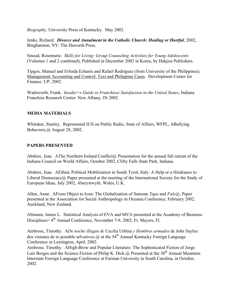*Biography,* University Press of Kentucky. May 2002.

Jenks, Richard. *Divorce and Annulment in the Catholic Church: Healing or Hurtful*, 2002, Binghamton, NY: The Haworth Press.

Smead, Rosemarie. *Skills for Living: Group Counseling Activities for Young Adolescents* (Volumes 1 and 2 combined), Published in December 2002 in Korea, by Hakjisa Publishers.

Tipgos, Manuel and Erlinda Echanis and Rafael Rodriguez (from University of the Philippines). Management Accounting and Control: Text and Philippine Cases. Development Center for Finance: UP, 2002.

Wadsworth, Frank. *Insider=s Guide to Franchisee Satisfaction in the United States*, Indiana Franchise Research Center: New Albany, IN 2002.

#### **MEDIA MATERIALS**

Whitaker, Stanley. Represented IUS on Public Radio, State of Affairs, WFPL, ABullying Behaviors,@ August 28, 2002.

#### **PAPERS PRESENTED**

Abshire, Jean. AThe Northern Ireland Conflict@ Presentation for the annual fall retreat of the Indiana Council on World Affairs, October 2002, Clifty Falls State Park, Indiana.

Abshire, Jean. AEthnic Political Mobilization in South Tyrol, Italy: A Help or a Hindrance to Liberal Democracy $\omega$  Paper presented at the meeting of the International Society for the Study of European Ideas, July 2002, Aberystwyth, Wales, U.K.

Allen, Anne. AFrom Object to Icon: The Globalization of Samoan *Tapa* and *Fale*@, Paper presented at the Association for Social Anthropology in Oceania Conference, February 2002, Auckland, New Zealand.

Altmann, James L. Statistical Analysis of EVA and MVA presented at the Academy of Business Disciplines  $4<sup>th</sup>$  Annual Conference, November 7-9, 2002, Ft. Meyers, Fl.

Ambrose, Timothy. A*De noche illegan de* Cecilia Urbina *y Hombres armados* de John Sayles: dos visiones de to possible selvativco. @ at the 54<sup>th</sup> Annual Kentucky Foreign Language Conference in Lextington, April, 2002.

Ambrose, Timothy. AHigh-Brow and Popular Literature: The Sophisticated Fiction of Jorge Luis Borges and the Science Fiction of Philip K. Dick.@ Presented at the  $30<sup>th</sup>$  Annual Mountain Interstate Foreign Language Conference at Furman University in South Carolina, in October, 2002.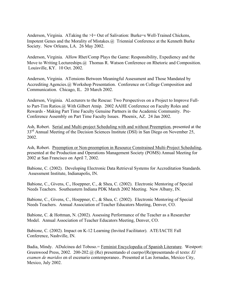Anderson, Virginia. ATaking the  $\geq 1$ = Out of Salivation: Burke=s Well-Trained Chickens, Impotent Genes and the Morality of Mistakes.@ Triennial Conference at the Kenneth Burke Society. New Orleans, LA. 26 May 2002.

Anderson, Virginia. AHow Rhet/Comp Plays the Game: Responsibility, Expediency and the Move to Writing Lectureships.@ Thomas R. Watson Conference on Rhetoric and Composition. Louisville, KY. 10 Oct. 2002.

Anderson, Virginia. ATensions Between Meaningful Assessment and Those Mandated by Accrediting Agencies.@ Workshop Presentation. Conference on College Composition and Communication. Chicago, IL. 20 March 2002.

Anderson, Virginia. ALecturers to the Rescue: Two Perspectives on a Project to Improve Fullto Part-Tim Ratios.@ With Gilbert Atnip. 2002 AAHE Conference on Faculty Roles and Rewards - Making Part Time Faculty Genuine Partners in the Academic Community. Pre-Conference Assembly on Part Time Faculty Issues. Phoenix, AZ. 24 Jan 2002.

Ash, Robert. Serial and Multi-project Scheduling with and without Preemption, presented at the 33<sup>rd</sup> Annual Meeting of the Decision Sciences Institute (DSI) in San Diego on November 25, 2002.

Ash, Robert. Preemption or Non-preemption in Resource Constrained Multi-Project Scheduling, presented at the Production and Operations Management Society (POMS) Annual Meeting for 2002 at San Francisco on April 7, 2002.

Babione, C. (2002). Developing Electronic Data Retrieval Systems for Accreditation Standards. Assessment Institute, Indianapolis, IN.

Babione, C., Givens, C., Hoeppner, C., & Shea, C. (2002). Electronic Mentoring of Special Needs Teachers. Southeastern Indiana PDK March 2002 Meeting. New Albany, IN.

Babione, C., Givens, C., Hoeppner, C., & Shea, C. (2002). Electronic Mentoring of Special Needs Teachers. Annual Association of Teacher Educators Meeting, Denver, CO.

Babione, C. & Hottman, N. (2002). Assessing Performance of the Teacher as a Researcher Model. Annual Association of Teacher Educators Meeting, Denver, CO.

Babione, C. (2002). Impact on K-12 Learning (Invited Facilitator). ATE/IACTE Fall Conference, Nashville, IN.

Badia, Mindy. ADulcinea del Toboso. = Feminist Encyclopedia of Spanish Literature. Westport: Greenwood Press, 2002. 200-202.@ (Re) presentando el cuerpo/(Re)presentando el texto: *El examen de maridos* en el escenario contemporaneo.. Presented at Las Jornadas, Mexico City, Mexico, July 2002.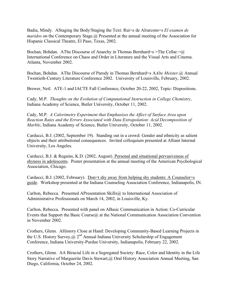Badia, Mindy. AStaging the Body/Staging the Text: Rui=z de Alrarcons=s *El examen de maridos* on the Contemporary Stage. @ Presented at the annual meeting of the Association for Hispanic Classical Theatre, El Paso, Texas, 2002.

Bochan, Bohdan. AThe Discourse of Anarchy in Thomas Bernhard=s > The Cellar.= $@$ International Conference on Chaos and Order in Literature and the Visual Arts and Cinema. Atlanta, November 2002.

Bochan, Bohdan. AThe Discourse of Parody in Thomas Bernhard=s A*Alte Meister*.@ Annual Twentieth-Century Literature Conference 2002. University of Louisville, February, 2002.

Brewer, Neil. ATE-1 and IACTE Fall Conference, October 20-22, 2002, Topic: Dispositions.

Cady, M.P. *Thoughts on the Evolution of Computational Instruction in College Chemistry*, Indiana Academy of Science, Butler University, October 11, 2002.

Cady, M.P. *A Calorimetry Experiment that Emphasizes the Affect of Surface Area upon Reaction Rates and the Errors Associated with Data Extrapolation: Acid Decomposition of Marble*, Indiana Academy of Science, Butler University, October 11, 2002.

Carducci, B.J. (2002, September 19). Standing out in a crowd: Gender and ethnicity as salient objects and their attributional consequences. Invited colloquium presented at Alliant Internal University, Los Angeles.

Carducci, B.J. & Regains, K.D. (2002, August). Personal and situational pervasiveness of shyness in adolescents. Poster presentation at the annual meeting of the American Psychological Association, Chicago.

Carducci, B.J. (2002, February). Don=t shy away from helping shy students: A Counselor=s guide. Workshop presented at the Indiana Counseling Association Conference, Indianapolis, IN.

Carlton, Rebecca. Presented APresentation Skills@ to International Association of Administrative Professionals on March 14, 2002, in Louisville, Ky.

Carlton, Rebecca. Presented with panel on ABasic Communication in Action: Co-Curricular Events that Support the Basic Course@ at the National Communication Association Convention in November 2002.

Crothers, Glenn. AHistory Close at Hand: Developing Community-Based Learning Projects in the U.S. History Survey,  $\omega$   $2^{nd}$  Annual Indiana University Scholarship of Engagement Conference, Indiana University-Purdue University, Indianapolis, February 22, 2002.

Crothers, Glenn. AA Biracial Life in a Segregated Society: Race, Color and Identity in the Life Story Narrative of Marguerite Davis Stewart, @ Oral History Association Annual Meeting, San Diego, California, October 24, 2002.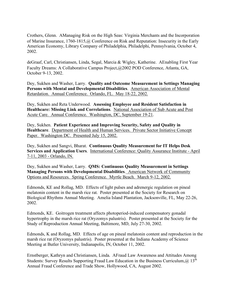Crothers, Glenn. AManaging Risk on the High Seas: Virginia Merchants and the Incorporation of Marine Insurance, 1760-1815,@ Conference on Risk and Reputation: Insecurity in the Early American Economy, Library Company of Philadelphia, Philadelphi, Pennsylvania, October 4, 2002.

deGraaf, Carl, Christiansen, Linda, Segal, Marcia & Wigley, Katherine. AEnabling First Year Faculty Dreams: A Collaborative Campus Project,@2002 POD Conference, Atlanta, GA, October 9-13, 2002.

Dey, Sukhen and Washer, Larry. **Quality and Outcome Measurement in Settings Managing Persons with Mental and Developmental Disabilities**. American Association of Mental Retardation. Annual Conference. Orlando, FL. May 18-22, 2002.

Dey, Sukhen and Reta Underwood. **Assessing Employee and Resident Satisfaction in Healthcare: Missing Link and Correlations**. National Association of Sub Acute and Post Acute Care. Annual Conference. Washington, DC, September 19-21.

Dey, Sukhen. **Patient Experience and Improving Security, Safety and Quality in Healthcare**. Department of Health and Human Services. Private Sector Initiative Concept Paper. Washington DC. Presented July 15, 2002.

Dey, Sukhen and Sangvi, Bharat. **Continuous Quality Measurement for IT Helps Desk Services and Application Users**. International Conference: Quality Assurance Institute - April 7-11, 2003 - Orlando, IN.

Dey, Sukhen and Washer, Larry. **QMS: Continuous Quality Measurement in Settings Managing Persons with Developmental Disabilities**. American Network of Community Options and Resources. Spring Conference. Myrtle Beach. March 9-12, 2002.

Edmonds, KE and Rollag, MD. Effects of light pulses and adrenergic regulation on pineal melatonin content in the marsh rice rat. Poster presented at the Society for Research on Biological Rhythms Annual Meeting. Amelia Island Plantation, Jacksonville, FL, May 22-26, 2002.

Edmonds, KE. Goitrogen treatment affects photoperiod-induced compensatory gonadal hypertrophy in the marsh rice rat (Oryzomys palustris). Poster presented at the Society for the Study of Reproduction Annual Meeting, Baltimore, MD, July 27-30, 2002.

Edmonds, K and Rollag, MD. Effects of age on pineal melatonin content and reproduction in the marsh rice rat (Oryzomys palustris). Poster presented at the Indiana Academy of Science Meeting at Butler University, Indianapolis, IN, October 11, 2002.

Ernstberger, Kathryn and Christiansen, Linda. AFraud Law Awareness and Attitudes Among Students: Survey Results Supporting Fraud Law Education in the Business Curriculum,  $(a)$  13<sup>th</sup> Annual Fraud Conference and Trade Show, Hollywood, CA, August 2002.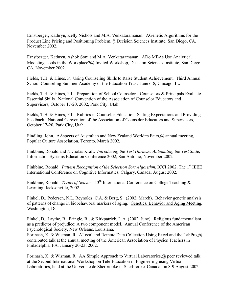Ernstberger, Kathryn, Kelly Nichols and M.A. Venkataramanan. AGenetic Algorithms for the Product Line Pricing and Positioning Problem,@ Decision Sciences Institute, San Diego, CA, November 2002.

Ernstberger, Kathryn, Ashok Soni and M.A. Venkataramanan. ADo MBAs Use Analytical Modeling Tools in the Workplace?@ Invited Workshop, Decision Sciences Institute, San Diego, CA, November 2002.

Fields, T.H. & Hines, P. Using Counseling Skills to Raise Student Achievement. Third Annual School Counseling Summer Academy of the Education Trust, June 6-8, Chicago, IL.

Fields, T.H. & Hines, P.L. Preparation of School Counselors: Counselors & Principals Evaluate Essential Skills. National Convention of the Association of Counselor Educators and Supervisors, October 17-20, 2002, Park City, Utah.

Fields, T.H. & Hines, P.L. Rubrics in Counselor Education: Setting Expectations and Providing Feedback. National Convention of the Association of Counselor Educators and Supervisors, October 17-20, Park City, Utah.

Findling, John. AAspects of Australian and New Zealand World=s Fairs,@ annual meeting, Popular Culture Association, Toronto, March 2002.

Finkbine, Ronald and Nicholas Kraft. *Introducing the Test Harness: Automating the Test Suite*, Information Systems Education Conference 2002, San Antonio, November 2002.

Finkbine, Ronald. *Pattern Recognition of the Selection Sort Algorithm*, ICCI 2002, The 1st IEEE International Conference on Cognitive Informatics, Calgary, Canada, August 2002.

Finkbine, Ronald. *Terms of Science*, 13<sup>th</sup> International Conference on College Teaching & Learning, Jacksonville, 2002.

Finkel, D., Pedersen, N.L. Reynolds, C.A. & Berg, S. (2002, March). Behavior genetic analysis of patterns of change in biobehavioral markers of aging. Genetics, Behavior and Aging Meeting, Washington, DC.

Finkel, D., Laythe, B., Bringle, R., & Kirkpatrick, L.A. (2002, June). Religious fundamentalism as a predictor of prejudice: A two component model. Annual Conference of the American Psychological Society, New Orleans, Louisiana.

Forinash, K. & Wisman, R. ALocal and Remote Data Collection Using Excel and the LabPro, @ contributed talk at the annual meeting of the American Association of Physics Teachers in Philadelphia, PA, January 20-23, 2002.

Forinash, K. & Wisman, R. AA Simple Approach to Virtual Laboratories,@ peer reviewed talk at the Second International Workshop on Tele-Education in Engineering using Virtual Laboratories, held at the Universite de Sherbrooke in Sherbrooke, Canada, on 8-9 August 2002.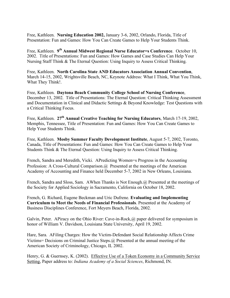Free, Kathleen. **Nursing Education 2002,** January 3-6, 2002, Orlando, Florida, Title of Presentation: Fun and Games: How You Can Create Games to Help Your Students Think.

Free, Kathleen. **9th Annual Midwest Regional Nurse Educator=s Conference**. October 10, 2002. Title of Presentations: Fun and Games: How Games and Case Studies Can Help Your Nursing Staff Think & The Eternal Question: Using Inquiry to Assess Critical Thinking.

Free, Kathleen. **North Carolina State AND Educators Association Annual Convention**, March 14-15, 2002, Wrightsville Beach, NC, Keynote Address: What I Think, What You Think, What They Think!.

Free, Kathleen. **Daytona Beach Community College School of Nursing Conference**, December 13, 2002. Title of Presentations: The Eternal Question: Critical Thinking Assessment and Documentation in Clinical and Didactic Settings & Beyond Knowledge: Test Questions with a Critical Thinking Focus.

Free, Kathleen. **27th Annual Creative Teaching for Nursing Educators**, March 17-19, 2002, Memphis, Tennessee, Title of Presentation: Fun and Games: How You Can Create Games to Help Your Students Think.

Free, Kathleen. **Mosby Summer Faculty Development Institute**, August 5-7, 2002, Toronto, Canada, Title of Presentations: Fun and Games: How You Can Create Games to Help Your Students Think & The Eternal Question: Using Inquiry to Assess Critical Thinking.

French, Sandra and Meredith, Vicki. APredicting Women=s Progress in the Accounting Profession: A Cross-Cultural Comparison. @ Presented at the meetings of the American Academy of Accounting and Finance held December 5-7, 2002 in New Orleans, Louisiana.

French, Sandra and Sloss, Sam. AWhen Thanks is Not Enough.@ Presented at the meetings of the Society for Applied Sociology in Sacramento, California on October 18, 2002.

French, G. Richard, Eugene Beckman and Uric Dufrene. **Evaluating and Implementing Curriculum to Meet the Needs of Financial Professionals**. Presented at the Academy of Business Disciplines Conference, Fort Meyers Beach, Florida, 2002.

Galvin, Peter. APiracy on the Ohio River: Cave-in-Rock, @ paper delivered for symposium in honor of William V. Davidson, Louisiana State University, April 19, 2002.

Hare, Sara. AFiling Charges: How the Victim-Defendant Social Relationship Affects Crime Victims= Decisions on Criminal Justice Steps.@ Presented at the annual meeting of the American Society of Criminology, Chicago, IL 2002.

Henry, G. & Guernsey, K. (2002). Effective Use of a Token Economy in a Community Service Setting, Paper address to: *Indiana Academy of a Social Sciences*, Richmond, IN.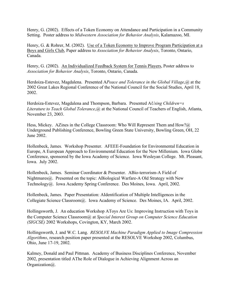Henry, G. (2002). Effects of a Token Economy on Attendance and Participation in a Community Setting. Poster address to *Midwestern Association for Behavior Analysis*, Kalamazoo, MI.

Henry, G. & Rohrer, M. (2002). Use of a Token Economy to Improve Program Participation at a Boys and Girls Club, Paper address to *Association for Behavior Analysis*, Toronto, Ontario, Canada.

Henry, G. (2002). An Individualized Feedback System for Tennis Players, Poster address to *Association for Behavior Analysis*, Toronto, Ontario, Canada.

Herdoiza-Estevez, Magdalena. Presented A*Peace and Tolerance in the Global Village*,@ at the 2002 Great Lakes Regional Conference of the National Council for the Social Studies, April 18, 2002.

Herdoiza-Estevez, Magdalena and Thompson, Barbara. Presented A*Using Children=s Literature to Teach Global Tolerance*,@ at the National Council of Teachers of English, Atlanta, November 23, 2003.

Hess, Mickey. AZines in the College Classroom: Who Will Represent Them and How?@ Underground Publishing Conference, Bowling Green State University, Bowling Green, OH, 22 June 2002.

Hollenbeck, James. Workshop Presenter. AFEEE-Foundation for Environmental Education in Europe, A European Approach to Environmental Education for the New Millenium. Iowa Globe Conference, sponsored by the Iowa Academy of Science. Iowa Wesleyan College. Mt. Pleasant, Iowa. July 2002.

Hollenbeck, James. Seminar Coordinator & Presenter. ABio-terrorism-A Field of Nightmares@. Presented on the topic: ABiological Warfare-A Old Strategy with New Technology@. Iowa Academy Spring Conference. Des Moines, Iowa. April, 2002.

Hollenbeck, James. Paper Presentation: AIdentification of Multiple Intelligences in the Collegiate Science Classroom@. Iowa Academy of Science. Des Moines, IA. April, 2002.

Hollingsworth, J. An education Workshop AToys Are Us: Improving Instruction with Toys in the Computer Science Classroom@ at *Special Interest Group on Computer Science Education (SIGCSE)* 2002 Workshops, Covington, KY, March 2002.

Hollingsworth, J. and W.C. Lang. *RESOLVE Machine Paradigm Applied to Image Compression Algorithms*, research position paper presented at the RESOLVE Workshop 2002, Columbus, Ohio, June 17-19, 2002.

Kalmey, Donald and Paul Pittman. Academy of Business Disciplines Conference, November 2002, presentation titled AThe Role of Dialogue in Achieving Alignment Across an Organization@.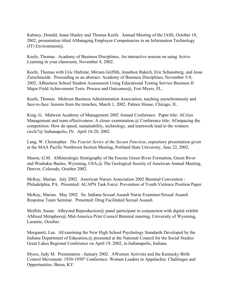Kalmey, Donald, Jeane Hanley and Thomas Keefe. Annual Meeting of the IASS, October 18, 2002, presentation titled AManaging Employee Competencies in an Information Technology (IT) Environment $(a)$ .

Keefe, Thomas. Academy of Business Disciplines, An interactive session on using Active Learning in your classroom, November 8, 2002.

Keefe, Thomas with Uric Dufrene, Miriam Griffith, Jonathon Rakich, Eric Schansberg, and Jesse Zurschmeide. Proceeding as an abstract: Academy of Business Disciplines, November 5-9, 2002, ABusiness School Student Assessment Using Educational Testing Service Business II Major Field Achievement Tests: Process and Outcomes@, Fort Myers, FL.

Keefe, Thomas. Midwest Business Administration Association, teaching asynchronously and face-to-face: lessons from the trenches, March 1, 2002, Palmer House, Chicago, IL.

King, G. Midwest Academy of Management 2002 Annual Conference. Paper title: ACrisis Management and team effectiveness: A closer examination.@ Conference title: AOutpacing the competition: How do speed, sustainability, technology, and teamwork lead to the winners circle?@ Indianapolis, IN. April 18-20, 2002.

Lang, W. Christopher. *The Fourier Series of the Secant Function*, expository presentation given at the MAA Pacific Northwest Section Meeting, Portland State University, June 22, 2002.

Mason, G.M. AMineralogic Stratigraphy of the Eocene Green River Formation, Green River and Washakie Basins, Wyoming, USA,@ The Geological Society of American Annual Meeting, Denver, Colorado, October 2002.

McKay, Marian. July 2002. American Nurses Association 2002 Biennial Convention - Philadelphia, PA. Presented: ACAPN Task Force: Prevention of Youth Violence Position Paper.

McKay, Marian. May 2002. So. Indiana Sexual Assault Nurse Examiner/Sexual Assault Response Team Seminar. Presented: Drug Facilitated Sexual Assault.

Moffett, Susan. ABeyond Reproduction  $\omega$  panel participant in conjunction with digital exhibit AMixed Metaphors@ Mid-America Print Council Biennial meeting, University of Wyoming, Laramie, October.

Morganett, Lee. AExamining the New High School Psychology Standards Developed by the Indiana Department of Education, @ presented at the National Council for the Social Studies Great Lakes Regional Conference on April 19, 2002, in Indianapolis, Indiana.

Myers, Judy M. Presentation - January 2002. AWomen Activists and the Kentucky Birth Control Movement: 1930-1950" Conference: Women Leaders in Appalachia: Challenges and Opportunities, Berea, KY.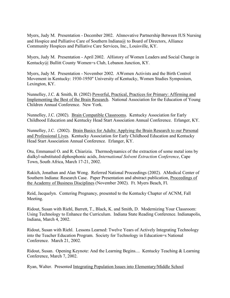Myers, Judy M. Presentation - December 2002. AInnovative Partnership Between IUS Nursing and Hospice and Palliative Care of Southern Indiana@ to Board of Directors, Alliance Community Hospices and Palliative Care Services, Inc., Louisville, KY.

Myers, Judy M. Presentation - April 2002. AHistory of Women Leaders and Social Change in Kentucky@ Bullitt County Women=s Club, Lebanon Junction, KY.

Myers, Judy M. Presentation - November 2002. AWomen Activists and the Birth Control Movement in Kentucky: 1930-1950" University of Kentucky, Women Studies Symposium, Lexington, KY.

Nunnelley, J.C. & Smith, B. (2002) Powerful, Practical, Practices for Primary: Affirming and Implementing the Best of the Brain Research. National Association for the Education of Young Children Annual Conference. New York.

Nunnelley, J.C. (2002). Brain Compatible Classrooms. Kentucky Association for Early Childhood Education and Kentucky Head Start Association Annual Conference. Erlanger, KY.

Nunnelley, J.C. (2002). Brain Basics for Adults: Applying the Brain Research to our Personal and Professional Lives. Kentucky Association for Early Childhood Education and Kentucky Head Start Association Annual Conference. Erlanger, KY.

Otu, Emmanuel O. and R. Chiarizia. Thermodynamics of the extraction of some metal ions by dialkyl-substituted diphosphonic acids, *International Solvent Extraction Conference*, Cape Town, South Africa, March 17-21, 2002.

Rakich, Jonathan and Alan Wong. Referred National Proceedings (2002). AMedical Center of Southern Indiana: Research Case. Paper Presentation and abstract publication, Proceedings of the Academy of Business Disciplines (November 2002). Ft. Myers Beach, Fl.

Reid, Jacquelyn. Centering Pregnancy, presented to the Kentucky Chapter of ACNM, Fall Meeting.

Ridout, Susan with Riehl, Barrett, T., Black, K. and Smith, D. Modernizing Your Classroom: Using Technology to Enhance the Curriculum. Indiana State Reading Conference. Indianapolis, Indiana, March 4, 2002.

Ridout, Susan with Riehl. Lessons Learned: Twelve Years of Actively Integrating Technology into the Teacher Education Program. Society for Technology in Education=s National Conference. March 21, 2002.

Ridout, Susan. Opening Keynote: And the Learning Begins.... Kentucky Teaching & Learning Conference, March 7, 2002.

Ryan, Walter. Presented Integrating Population Issues into Elementary/Middle School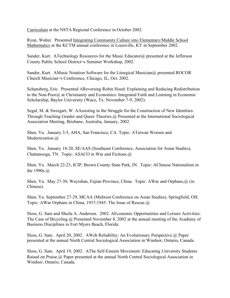Curriculum at the NSTA Regional Conference in October 2002.

Ryan, Walter. Presented Integrating Community Culture into Elementary/Middle School Mathematics at the KCTM annual conference in Louisville, KY in September 2002.

Sander, Kurt. ATechnology Resources for the Music Educator@ presented at the Jefferson County Public School District=s Summer Workshop, 2002.

Sander, Kurt. AMusic Notation Software for the Liturgical Musician@ presented ROCOR Church Musician=s Conference, Chicago, IL, Oct. 2002.

Schansberg, Eric. Presented AReversing Robin Hood: Explaining and Reducing Redistribution to the Non-Poor@ at Christianity and Economics: Integrated Faith and Learning in Economic Scholarship, Baylor University (Waco, Tx: November 7-9, 2002).

Segal, M. & Sweigart, W. AAssisting in the Struggle for the Construction of New Identities: Through Teaching Gender and Queer Theories.@ Presented at the International Sociological Association Meeting, Brisbane, Australia, January, 2002.

Shen, Yu. January 3-5, AHA, San Francisco, CA. Topic: ATaiwan Women and Modernization.@

Shen, Yu. January 18-20, SE/AAS (Southeast Conference, Association for Asian Studies), Chattanooga, TN. Topic: ASACO in War and Fictions.@

Shen, Yu. March 22-23, ICIP, Brown County State Park, IN. Topic: AChinese Nationalism in the 1990s.@

Shen, Yu. May 27-30, Wuyishan, Fujian Province, China. Topic: AWar and Orphans,@ (in Chinese).

Shen, Yu. September 27-29, MCAA (Midwest Conference on Asian Studies), Springfield, OH. Topic: AWar Orphans in China, 1937-1945: The Issue of Rescue.@

Sloss, G. Sam and Sheila A. Andersen. 2002. AEconomic Opportunities and Leisure Activities: The Case of Bicycling.@ Presented November 8, 2002 at the annual meeting of the Academy of Business Disciplines in Fort Myers Beach, Florida.

Sloss, G. Sam. April 20, 2002. AWeb Reliability: An Evolutionary Perspective.@ Paper presented at the annual North Central Sociological Association in Windsor, Ontario, Canada.

Sloss, G. Sam. April 19, 2002. AThe Self-Esteem Movement: Educating University Students Raised on Praise.@ Paper presented at the annual North Central Sociological Association in Windsor, Ontario, Canada.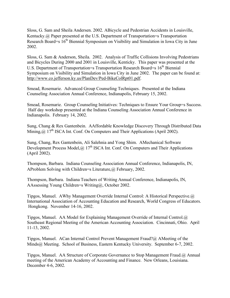Sloss, G. Sam and Sheila Andersen. 2002. ABicycle and Pedestrian Accidents in Louisville, Kentucky.@ Paper presented at the U.S. Department of Transportation=s Transportation Research Board=s 16<sup>th</sup> Biennial Symposium on Visibility and Simulation in Iowa City in June 2002.

Sloss, G. Sam & Anderson, Sheila. 2002. Analysis of Traffic Collisions Involving Pedestrians and Bicycles During 2000 and 2001 in Louisville, Kenticky. This paper was presented at the U.S. Department of Transportation=s Transportation Research Board=s 16<sup>th</sup> Biennial Symposium on Visibility and Simulation in Iowa City in June 2002. The paper can be found at: http://www.co.jefferson.ky.us/PlanDev/Ped-BikeColRpt01.pdf.

Smead, Rosemarie. Advanced Group Counseling Techniques. Presented at the Indiana Counseling Association Annual Conference, Indianapolis, February 15, 2002.

Smead, Rosemarie. Group Counseling Initiatives: Techniques to Ensure Your Group=s Success. Half day workshop presented at the Indiana Counseling Association Annual Conference in Indianapolis. February 14, 2002.

Sung, Chang & Rex Gantenbein. AAffordable Knowledge Discovery Through Distributed Data Mining,  $\hat{a}$ ,  $17^{\text{th}}$  ISCA Int. Conf. On Computers and Their Applications (April 2002).

Sung, Chang, Rex Gantenbein, Ali Salehnia and Yong Shim. AMechanical Software Development Process Model,  $\omega$  17<sup>th</sup> ISCA Int. Conf. On Computers and Their Applications (April 2002).

Thompson, Barbara. Indiana Counseling Association Annual Conference, Indianapolis, IN, AProblem Solving with Children=s Literature,@ February, 2002.

Thompson, Barbara. Indiana Teachers of Writing Annual Conference, Indianapolis, IN, AAssessing Young Children=s Writing@, October 2002.

Tipgos, Manuel. AWhy Management Override Internal Control: A Historical Perspective.@ International Association of Accounting Education and Research, World Congress of Educators. Hongkong. November 14-16, 2002.

Tipgos, Manuel. AA Model for Explaining Management Override of Internal Control.@ Southeast Regional Meeting of the American Accounting Association. Cincinnati, Ohio. April 11-13, 2002.

Tipgos, Manuel. ACan Internal Control Prevent Management Fraud?@ AMeeting of the Minds@ Meeting. School of Business, Eastern Kentucky University. September 6-7, 2002.

Tipgos, Manuel. AA Structure of Corporate Governance to Stop Management Fraud.@ Annual meeting of the American Academy of Accounting and Finance. New Orleans, Louisiana. December 4-6, 2002.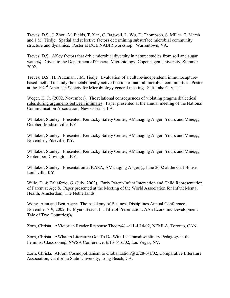Treves, D.S., J. Zhou, M. Fields, T. Yan, C. Bagwell, L. Wu, D. Thompson, S. Miller, T. Marsh and J.M. Tiedje. Spatial and selective factors determining subsurface microbial community structure and dynamics. Poster at DOE NABIR workshop. Warrentown, VA.

Treves, D.S. AKey factors that drive microbial diversity in nature: studies from soil and sugar water@. Given to the Department of General Microbiology, Copenhagen University, Summer 2002.

Treves, D.S., H. Prutzman, J.M. Tiedje. Evaluation of a culture-independent, immunocapturebased method to study the metabolically active fraction of natural microbial communities. Poster at the 102nd American Society for Microbiology general meeting. Salt Lake City, UT.

Weger, H. Jr. (2002, November). The relational consequences of violating pragma dialectical rules during arguments between intimates. Paper presented at the annual meeting of the National Communication Association, New Orleans, LA.

Whitaker, Stanley. Presented: Kentucky Safety Center, AManaging Anger: Yours and Mine,@ October, Madisonville, KY.

Whitaker, Stanley. Presented: Kentucky Safety Center, AManaging Anger: Yours and Mine,@ November, Pikeville, KY.

Whitaker, Stanley. Presented: Kentucky Safety Center, AManaging Anger: Yours and Mine,@ September, Covington, KY.

Whitaker, Stanley. Presentation at KASA, AManaging Anger,@ June 2002 at the Galt House, Louisville, KY.

Wille, D. & Taliaferro, G. (July, 2002). Early Parent-Infant Interaction and Child Representation of Parent at Age 8. Paper presented at the Meeting of the World Association for Infant Mental Health, Amsterdam, The Netherlands.

Wong, Alan and Ben Asare. The Academy of Business Disciplines Annual Conference, November 7-9, 2002, Ft. Myers Beach, Fl, Title of Presentation: AAn Economic Development Tale of Two Countries@.

Zorn, Christa. AVictorian Reader Response Theory@ 4/11-4/14/02, NEMLA, Toronto, CAN.

Zorn, Christa. AWhat=s Literature Got To Do With It? Transdisciplinary Pedagogy in the Feminist Classroom@ NWSA Conference, 6/13-6/16/02, Las Vegas, NV.

Zorn, Christa. AFrom Cosmopolitanism to Globalization @ 2/28-3/1/02, Comparative Literature Association, California State University, Long Beach, CA.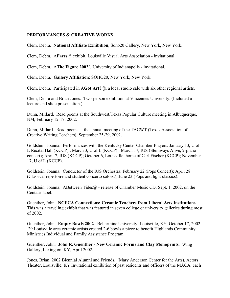#### **PERFORMANCES & CREATIVE WORKS**

Clem, Debra. **National Affiliate Exhibition**, Soho20 Gallery, New York, New York.

Clem, Debra. A**Faces**@ exhibit, Louisville Visual Arts Association - invitational.

Clem, Debra. A**The Figure 2002**", University of Indianapolis - invitational.

Clem, Debra. **Gallery Affiliation**: SOHO20, New York, New York.

Clem, Debra. Participated in A**Got Art?**@, a local studio sale with six other regional artists.

Clem, Debra and Brian Jones. Two-person exhibition at Vincennes University. (Included a lecture and slide presentation.)

Dunn, Millard. Read poems at the Southwest/Texas Popular Culture meeting in Albuquerque, NM, February 12-17, 2002.

Dunn, Millard. Read poems at the annual meeting of the TACWT (Texas Association of Creative Writing Teachers), September 25-29, 2002.

Goldstein, Joanna. Performances with the Kentucky Center Chamber Players: January 13, U of L Recital Hall (KCCP) ; March 3, U of L (KCCP) ; March 17, IUS (Steinways Alive, 2-piano concert); April 7, IUS (KCCP); October 6, Louisville, home of Carl Fischer (KCCP); November 17, U of L (KCCP).

Goldstein, Joanna. Conductor of the IUS Orchestra: February 22 (Pops Concert); April 28 (Classical repertoire and student concerto soloist); June 23 (Pops and light classics).

Goldstein, Joanna. ABetween Tides  $\omega$  - release of Chamber Music CD, Sept. 1, 2002, on the Centaur label.

Guenther, John. **NCECA Connections: Ceramic Teachers from Liberal Arts Institutions**. This was a traveling exhibit that was featured in seven college or university galleries during most of 2002.

Guenther, John. **Empty Bowls 2002**. Bellarmine University, Louisville, KY, October 17, 2002. 29 Louisville area ceramic artists created 2-6 bowls a piece to benefit Highlands Community Ministries Individual and Family Assistance Program.

Guenther, John. **John R. Guenther - New Ceramic Forms and Clay Monoprints**. Wing Gallery, Lexington, KY, April 2002.

Jones, Brian. 2002 Biennial Alumni and Friends. (Mary Anderson Center for the Arts), Actors Theater, Louisville, KY Invitational exhibition of past residents and officers of the MACA, each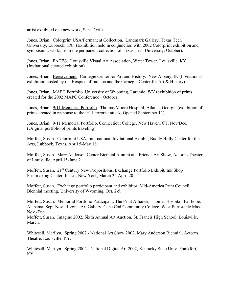artist exhibited one new work, Sept.-Oct.).

Jones, Brian. Colorprint USA/Permanent Collection. Landmark Gallery, Texas Tech University, Lubbock, TX. (Exhibition held in conjunction with 2002 Colorprint exhibition and symposium, works from the permanent collection of Texas Tech University, October).

Jones, Brian. FACES. Louisville Visual Art Association, Water Tower, Louisville, KY (Invitational curated exhibition).

Jones, Brian. Bereavement. Carnegie Center for Art and History. New Albany, IN (Invitational exhibition hosted by the Hospice of Indiana and the Carnegie Center for Art & History).

Jones, Brian. MAPC Portfolio. University of Wyoming, Laramie, WY (exhibition of prints created for the 2002 MAPC Conference), October.

Jones, Brian. 9/11 Memorial Portfolio. Thomas Moore Hospital, Atlanta, Georgia (exhibition of prints created in response to the 9/11 terrorist attack, Opened September 11).

Jones, Brian. 9/11 Memorial Portfolio, Connecticut College, New Haven, CT, Nov/Dec. (Original portfolio of prints traveling).

Moffett, Susan. Colorprint USA, International Invitational Exhibit, Buddy Holly Center for the Arts, Lubbock, Texas, April 5-May 18.

Moffett, Susan. Mary Anderson Center Biennial Alumni and Friends Art Show, Actor=s Theater of Louisville, April 15-June 2.

Moffett, Susan. 21<sup>st</sup> Century New Propositions, Exchange Portfolio Exhibit, Ink Shop Printmaking Center, Ithaca, New York, March 22-April 20.

Moffett, Susan. Exchange portfolio participant and exhibitor, Mid-America Print Council Biennial meeting, University of Wyoming, Oct. 2-5.

Moffett, Susan. Memorial Portfolio Participant, The Print Alliance, Thomas Hospital, Fairhope, Alabama, Sept-Nov. Higgins Art Gallery, Cape Cod Community College, West Barnstable Mass. Nov.-Dec.

Moffett, Susan. Imagine 2002, Sixth Annual Art Auction, St. Francis High School, Louisville, March.

Whitesell, Marilyn. Spring 2002 - National Art Show 2002, Mary Anderson Biennial, Actor=s Theatre, Louisville, KY.

Whitesell, Marilyn. Spring 2002 - National Digital Art 2002, Kentucky State Univ. Frankfort, KY.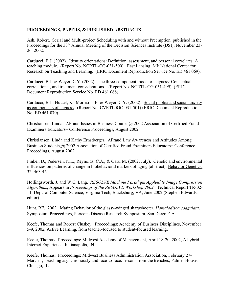## **PROCEEDINGS, PAPERS, & PUBLISHED ABSTRACTS**

Ash, Robert. Serial and Multi-project Scheduling with and without Preemption, published in the Proceedings for the 33<sup>rd</sup> Annual Meeting of the Decision Sciences Institute (DSI), November 23-26, 2002.

Carducci, B.J. (2002). Identity orientations: Definition, assessment, and personal correlates: A teaching module. (Report No. NCRTL-CG-031-500). East Lansing, MI: National Center for Research on Teaching and Learning. (ERIC Document Reproduction Service No. ED 461 069).

Carducci, B.J. & Weyer, C.Y. (2002). The three-component model of shyness: Conceptual, correlational, and treatment considerations. (Report No. NCRTL-CG-031-499). (ERIC Document Reproduction Service No. ED 461 068).

Carducci, B.J., Hutzel, K., Morrison, E. & Weyer, C.Y. (2002). Social phobia and social anxiety as components of shyness. (Report No. CVRTL0GC-031-501) (ERIC Document Reproduction No. ED 461 070).

Christiansen, Linda. AFraud Issues in Business Course,@ 2002 Association of Certified Fraud Examiners Educators= Conference Proceedings, August 2002.

Christiansen, Linda and Kathy Ernstberger. AFraud Law Awareness and Attitudes Among Business Students,@ 2002 Association of Certified Fraud Examiners Educators= Conference Proceedings, August 2002.

Finkel, D., Pedersen, N.L., Reynolds, C.A., & Gatz, M. (2002, July). Genetic and environmental influences on patterns of change in biobehavioral markers of aging [abstract]. Behavior Genetics, 32, 463-464.

Hollingsworth, J. and W.C. Lang. *RESOLVE Machine Paradigm Applied to Image Compression Algorithms*, Appears in *Proceedings of the RESOLVE Workshop 2002.* Technical Report TR-02- 11, Dept. of Computer Science, Virginia Tech, Blacksburg, VA, June 2002 (Stephen Edwards, editor).

Hunt, RE. 2002. Mating Behavior of the glassy-winged sharpshooter, *Homalodisca coagulata*. Symposium Proceedings, Pierce=s Disease Research Symposium, San Diego, CA.

Keefe, Thomas and Robert Cluskey. Proceedings: Academy of Business Disciplines, November 5-9, 2002, Active Learning, from teacher-focused to student-focused learning.

Keefe, Thomas. Proceedings: Midwest Academy of Management, April 18-20, 2002, A hybrid Internet Experience, Indianapolis, IN.

Keefe, Thomas. Proceedings: Midwest Business Administration Association, February 27- March 1, Teaching asynchronously and face-to-face: lessons from the trenches, Palmer House, Chicago, IL.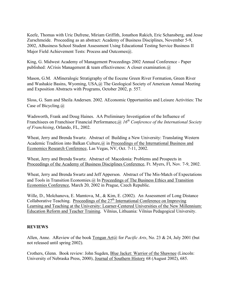Keefe, Thomas with Uric Dufrene, Miriam Griffith, Jonathon Rakich, Eric Schansberg, and Jesse Zurschmeide. Proceeding as an abstract: Academy of Business Disciplines, November 5-9, 2002, ABusiness School Student Assessment Using Educational Testing Service Business II Major Field Achievement Tests: Process and Outcomes@.

King, G. Midwest Academy of Management Proceedings 2002 Annual Conference - Paper published: ACrisis Management & team effectiveness: A closer examination. $\omega$ 

Mason, G.M. AMineralogic Stratigraphy of the Eocene Green River Formation, Green River and Washakie Basins, Wyoming, USA,@ The Geological Society of American Annual Meeting and Exposition Abstracts with Programs, October 2002, p. 557.

Sloss, G. Sam and Sheila Andersen. 2002. AEconomic Opportunities and Leisure Activities: The Case of Bicycling.@

Wadsworth, Frank and Doug Haines. AA Preliminary Investigation of the Influence of Franchisees on Franchisor Financial Performance,@ *16th Conference of the International Society of Franchising*, Orlando, FL, 2002.

Wheat, Jerry and Brenda Swartz. Abstract of: Building a New University: Translating Western Academic Tradition into Balkan Culture, @ in Proceedings of the International Business and Economics Research Conference, Las Vegas, NV, Oct. 7-11, 2002.

Wheat, Jerry and Brenda Swartz. Abstract of: Macedonia: Problems and Prospects in Proceedings of the Academy of Business Disciplines Conference, Ft. Myers, Fl, Nov. 7-9, 2002.

Wheat, Jerry and Brenda Swartz and Jeff Apperson. Abstract of The Mis-Match of Expectations and Tools in Transition Economies.@ In Proceedings of The Business Ethics and Transition Economies Conference, March 20, 2002 in Prague, Czech Republic.

Wille, D., Molchanova, E. Mamtova, M., & Kim, E. (2002). An Assessment of Long Distance Collaborative Teaching. Proceedings of the  $27<sup>th</sup>$  International Conference on Improving Learning and Teaching at the University: Learner-Centered Universities of the New Millennium: Education Reform and Teacher Training. Vilnius, Lithuania: Vilnius Pedagogical University.

## **REVIEWS**

Allen, Anne. AReview of the book Tongan Art@ for *Pacific Arts*, No. 23 & 24, July 2001 (but not released until spring 2002).

Crothers, Glenn. Book review: John Sugden, Blue Jacket: Warrior of the Shawnee (Lincoln: University of Nebraska Press, 2000), Journal of Southern History 68 (August 2002), 685.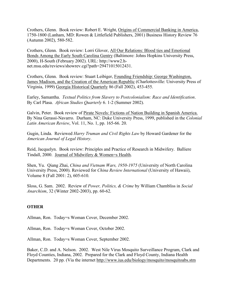Crothers, Glenn. Book review: Robert E. Wright, Origins of Commercial Banking in America, 1750-1800 (Lanham, MD: Rowen & Littlefield Publishers, 2001) Business History Review 76 (Autumn 2002), 580-582.

Crothers, Glenn. Book review: Lorri Glover, All Our Relations: Blood ties and Emotional Bonds Among the Early South Carolina Gentry (Baltimore: Johns Hopkins University Press, 2000), H-South (February 2002). URL: http://www2.hnet.msu.edu/reviews/showrev.cgi?path=29471015012431.

Crothers, Glenn. Book review: Stuart Leibiger, Founding Friendship: George Washington, James Madison, and the Creation of the American Republic (Charlottesville: University Press of Virginia, 1999) Georgia Historical Quarterly 86 (Fall 2002), 453-455.

Earley, Samantha. *Textual Politics from Slavery to Postcolonialism: Race and Identification*. By Carl Plasa. *African Studies Quarterly* 6. 1-2 (Summer 2002).

Galvin, Peter. Book review of Pirate Novels: Fictions of Nation Building in Spanish America. By Nina Gerassi-Navarro. Durham, NC: Duke University Press, 1999, published in the *Colonial Latin American Review*, Vol. 11, No. 1, pp. 165-66. 20.

Gugin, Linda. Reviewed *Harry Truman and Civil Rights Law* by Howard Gardener for the *American Journal of Legal History*.

Reid, Jacquelyn. Book review: Principles and Practice of Research in Midwifery. Balliere Tindall, 2000. Journal of Midwifery & Women=s Health.

Shen, Yu. Qiang Zhai, *China and Vietnam Wars, 1950-1975* (University of North Carolina University Press, 2000). Reviewed for *China Review International* (University of Hawaii), Volume 8 (Fall 2001: 2), 605-610.

Sloss, G. Sam. 2002. Review of *Power, Politics, & Crime* by William Chambliss in *Social Anarchism*, 32 (Winter 2002-2003), pp. 60-62.

## **OTHER**

Allman, Ron. Today=s Woman Cover, December 2002.

Allman, Ron. Today=s Woman Cover, October 2002.

Allman, Ron. Today=s Woman Cover, September 2002.

Baker, C.D. and A. Nelson. 2002. West Nile Virus Mosquito Surveillance Program, Clark and Floyd Counties, Indiana, 2002. Prepared for the Clark and Floyd County, Indiana Health Departments. 20 pp. (Via the internet http://www.ius.edu/biology/mosquito/mosquitoabs.stm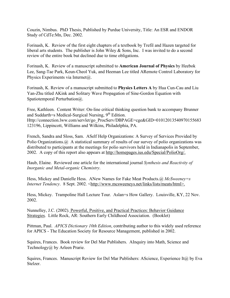Couzin, Nimbus. PhD Thesis, Published by Purdue University, Title: An ESR and ENDOR Study of CdTe:Mn, Dec. 2002.

Forinash, K. Review of the first eight chapters of a textbook by Trefil and Hazen targeted for liberal arts students. The publisher is John Wiley  $\&$  Sons, Inc. I was invited to do a second review of the entire book but declined due to time obligations.

Forinash, K. Review of a manuscript submitted to **American Journal of Physics** by Heebok Lee, Sang-Tae Park, Keun-Cheol Yuk, and Heeman Lee titled ARemote Control Laboratory for Physics Experiments via Internet@.

Forinash, K. Review of a manuscript submitted to **Physics Letters A** by Hua Cun-Cau and Liu Yan-Zhu titled AKink and Solitary Wave Propagation of Sine-Gordon Equation with Spatiotemporal Perturbation(a).

Free, Kathleen. Content Writer: On-line critical thinking question bank to accompany Brunner and Suddarth=s Medical-Surgical Nursing,  $9<sup>th</sup>$  Edition. Http://connection.lww.com/servlet/go\_ProcServ/DBPAGE=cge&GID=01012013540970155683 123196, Lippincott, Williams and Wilkins, Philadelphia, PA.

French, Sandra and Sloss, Sam. ASelf Help Organizations: A Survey of Services Provided by Polio Organizations. @ A statistical summary of results of our survey of polio organizations was distributed to participants at the meetings for polio survivors held in Indianapolis in September, 2002. A copy of this report also appears at http://homepages.ius.edu/Special/PolioOrg/.

Haub, Elaine. Reviewed one article for the international journal *Synthesis and Reactivity of Inorganic and Metal-organic Chemistry*.

Hess, Mickey and Danielle Hess. ANew Names for Fake Meat Products.@ *McSweeney=s Internet Tendency.* 8 Sept. 2002. <http://www.mcsweeneys.net/links/lists/meats/html>.

Hess, Mickey. Trampoline Hall Lecture Tour. Aslan=s How Gallery. Louisville, KY, 22 Nov. 2002.

Nunnelley, J.C. (2002). Powerful, Positive, and Practical Practices: Behavior Guidance Strategies. Little Rock, AR: Southern Early Childhood Association. (Booklet)

Pittman, Paul. *APICS Dictionary 10th Edition*, contributing author to this widely used reference for APICS - The Education Society for Resource Management, published in 2002.

Squires, Frances. Book review for Del Mar Publishers. AInquiry into Math, Science and Technology@ by Arleen Prarie.

Squires, Frances. Manuscript Review for Del Mar Publishers: AScience, Experience It@ by Eva Stelzer.